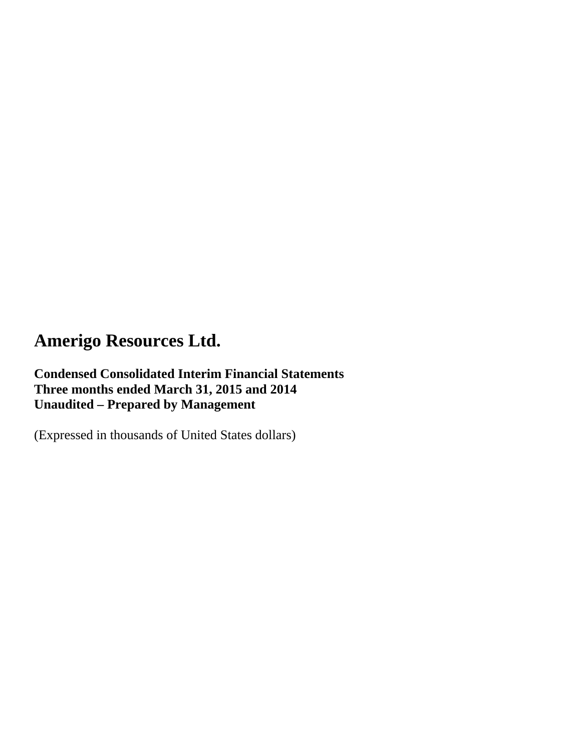**Condensed Consolidated Interim Financial Statements Three months ended March 31, 2015 and 2014 Unaudited – Prepared by Management** 

(Expressed in thousands of United States dollars)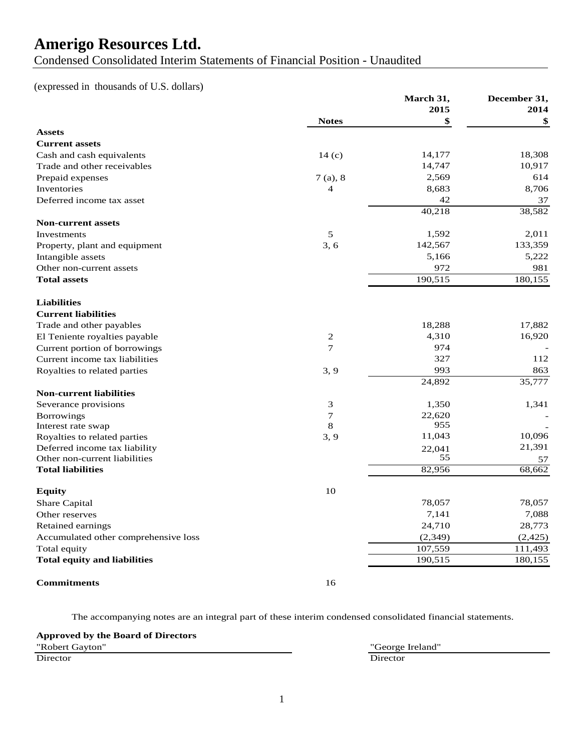Condensed Consolidated Interim Statements of Financial Position - Unaudited

#### (expressed in thousands of U.S. dollars)

|                                      |                  | March 31, | December 31, |
|--------------------------------------|------------------|-----------|--------------|
|                                      |                  | 2015      | 2014         |
|                                      | <b>Notes</b>     | \$        | \$           |
| <b>Assets</b>                        |                  |           |              |
| <b>Current assets</b>                |                  |           |              |
| Cash and cash equivalents            | 14(c)            | 14,177    | 18,308       |
| Trade and other receivables          |                  | 14,747    | 10,917       |
| Prepaid expenses                     | 7(a), 8          | 2,569     | 614          |
| Inventories                          | $\overline{4}$   | 8,683     | 8,706        |
| Deferred income tax asset            |                  | 42        | 37           |
|                                      |                  | 40,218    | 38,582       |
| <b>Non-current assets</b>            |                  |           |              |
| Investments                          | 5                | 1,592     | 2,011        |
| Property, plant and equipment        | 3, 6             | 142,567   | 133,359      |
| Intangible assets                    |                  | 5,166     | 5,222        |
| Other non-current assets             |                  | 972       | 981          |
| <b>Total assets</b>                  |                  | 190,515   | 180,155      |
| <b>Liabilities</b>                   |                  |           |              |
| <b>Current liabilities</b>           |                  |           |              |
| Trade and other payables             |                  | 18,288    | 17,882       |
| El Teniente royalties payable        | $\overline{2}$   | 4,310     | 16,920       |
| Current portion of borrowings        | 7                | 974       |              |
| Current income tax liabilities       |                  | 327       | 112          |
| Royalties to related parties         | 3, 9             | 993       | 863          |
|                                      |                  | 24,892    | 35,777       |
| <b>Non-current liabilities</b>       |                  |           |              |
| Severance provisions                 | 3                | 1,350     | 1,341        |
| <b>Borrowings</b>                    | $\boldsymbol{7}$ | 22,620    |              |
| Interest rate swap                   | 8                | 955       |              |
| Royalties to related parties         | 3, 9             | 11,043    | 10,096       |
| Deferred income tax liability        |                  | 22,041    | 21,391       |
| Other non-current liabilities        |                  | 55        | 57           |
| <b>Total liabilities</b>             |                  | 82,956    | 68,662       |
| <b>Equity</b>                        | 10               |           |              |
| Share Capital                        |                  | 78,057    | 78,057       |
| Other reserves                       |                  | 7,141     | 7,088        |
| Retained earnings                    |                  | 24,710    | 28,773       |
| Accumulated other comprehensive loss |                  | (2,349)   | (2, 425)     |
| Total equity                         |                  | 107,559   | 111,493      |
| <b>Total equity and liabilities</b>  |                  | 190,515   | 180,155      |
| <b>Commitments</b>                   | 16               |           |              |

The accompanying notes are an integral part of these interim condensed consolidated financial statements.

**Approved by the Board of Directors** "Robert Gayton" "George Ireland" Director Director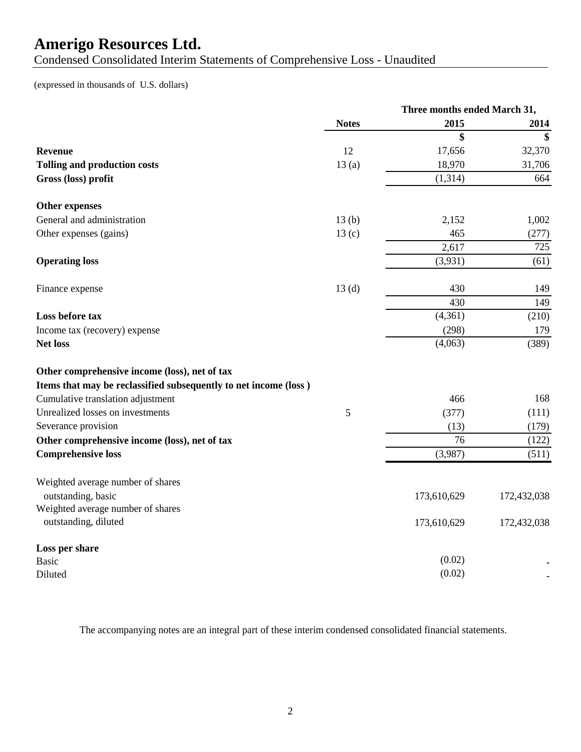Condensed Consolidated Interim Statements of Comprehensive Loss - Unaudited

(expressed in thousands of U.S. dollars)

|                                                                  | Three months ended March 31, |             |             |
|------------------------------------------------------------------|------------------------------|-------------|-------------|
|                                                                  | <b>Notes</b>                 | 2015        | 2014        |
|                                                                  |                              | \$          | \$          |
| <b>Revenue</b>                                                   | 12                           | 17,656      | 32,370      |
| <b>Tolling and production costs</b>                              | 13(a)                        | 18,970      | 31,706      |
| Gross (loss) profit                                              |                              | (1, 314)    | 664         |
| Other expenses                                                   |                              |             |             |
| General and administration                                       | 13(b)                        | 2,152       | 1,002       |
| Other expenses (gains)                                           | 13 <sub>(c)</sub>            | 465         | (277)       |
|                                                                  |                              | 2,617       | 725         |
| <b>Operating loss</b>                                            |                              | (3,931)     | (61)        |
| Finance expense                                                  | 13(d)                        | 430         | 149         |
|                                                                  |                              | 430         | 149         |
| Loss before tax                                                  |                              | (4,361)     | (210)       |
| Income tax (recovery) expense                                    |                              | (298)       | 179         |
| <b>Net loss</b>                                                  |                              | (4,063)     | (389)       |
| Other comprehensive income (loss), net of tax                    |                              |             |             |
| Items that may be reclassified subsequently to net income (loss) |                              |             |             |
| Cumulative translation adjustment                                |                              | 466         | 168         |
| Unrealized losses on investments                                 | 5                            | (377)       | (111)       |
| Severance provision                                              |                              | (13)        | (179)       |
| Other comprehensive income (loss), net of tax                    |                              | 76          | (122)       |
| <b>Comprehensive loss</b>                                        |                              | (3,987)     | (511)       |
| Weighted average number of shares                                |                              |             |             |
| outstanding, basic                                               |                              | 173,610,629 | 172,432,038 |
| Weighted average number of shares                                |                              |             |             |
| outstanding, diluted                                             |                              | 173,610,629 | 172,432,038 |
| Loss per share                                                   |                              |             |             |
| <b>Basic</b>                                                     |                              | (0.02)      |             |
| Diluted                                                          |                              | (0.02)      |             |

The accompanying notes are an integral part of these interim condensed consolidated financial statements.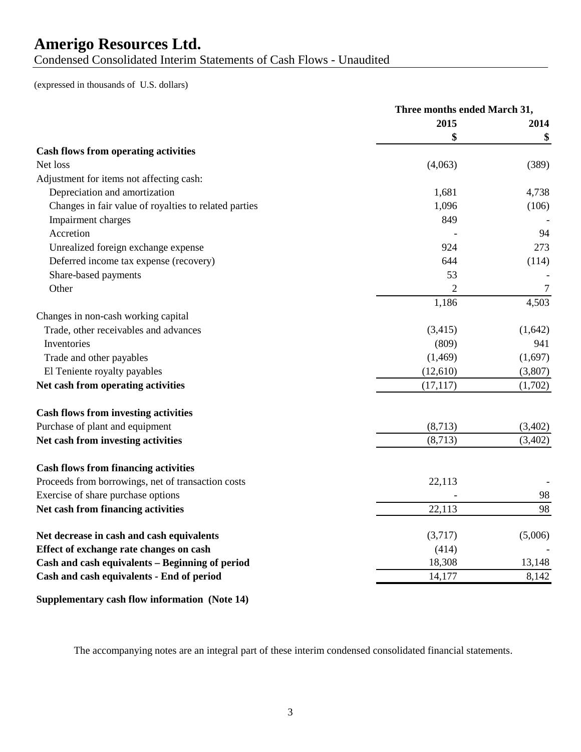Condensed Consolidated Interim Statements of Cash Flows - Unaudited

(expressed in thousands of U.S. dollars)

|                                                       | Three months ended March 31, |         |
|-------------------------------------------------------|------------------------------|---------|
|                                                       | 2015                         | 2014    |
|                                                       | \$                           | \$      |
| <b>Cash flows from operating activities</b>           |                              |         |
| Net loss                                              | (4,063)                      | (389)   |
| Adjustment for items not affecting cash:              |                              |         |
| Depreciation and amortization                         | 1,681                        | 4,738   |
| Changes in fair value of royalties to related parties | 1,096                        | (106)   |
| Impairment charges                                    | 849                          |         |
| Accretion                                             |                              | 94      |
| Unrealized foreign exchange expense                   | 924                          | 273     |
| Deferred income tax expense (recovery)                | 644                          | (114)   |
| Share-based payments                                  | 53                           |         |
| Other                                                 | 2                            | 7       |
|                                                       | 1,186                        | 4,503   |
| Changes in non-cash working capital                   |                              |         |
| Trade, other receivables and advances                 | (3,415)                      | (1,642) |
| Inventories                                           | (809)                        | 941     |
| Trade and other payables                              | (1, 469)                     | (1,697) |
| El Teniente royalty payables                          | (12,610)                     | (3,807) |
| Net cash from operating activities                    | (17, 117)                    | (1,702) |
| <b>Cash flows from investing activities</b>           |                              |         |
| Purchase of plant and equipment                       | (8,713)                      | (3,402) |
| Net cash from investing activities                    | (8,713)                      | (3,402) |
| <b>Cash flows from financing activities</b>           |                              |         |
| Proceeds from borrowings, net of transaction costs    | 22,113                       |         |
| Exercise of share purchase options                    |                              | 98      |
| Net cash from financing activities                    | 22,113                       | 98      |
| Net decrease in cash and cash equivalents             | (3,717)                      | (5,006) |
| Effect of exchange rate changes on cash               | (414)                        |         |
| Cash and cash equivalents - Beginning of period       | 18,308                       | 13,148  |
| Cash and cash equivalents - End of period             | 14,177                       | 8,142   |
|                                                       |                              |         |

**Supplementary cash flow information (Note 14)**

The accompanying notes are an integral part of these interim condensed consolidated financial statements.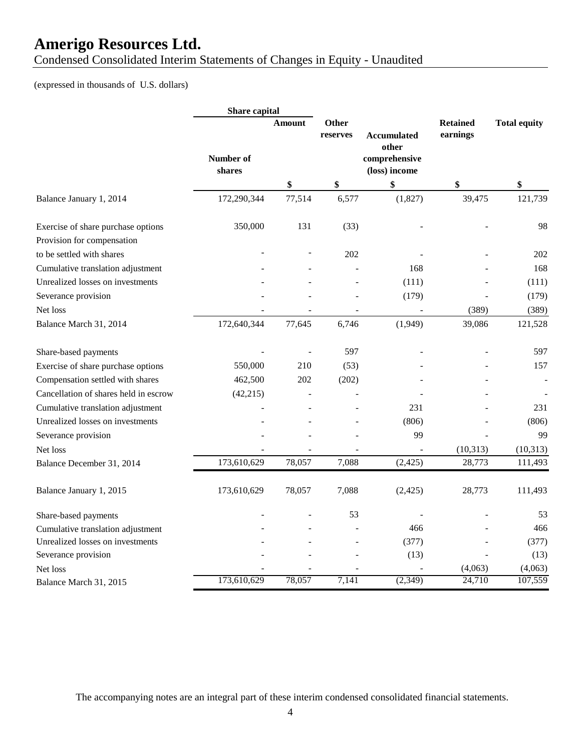Condensed Consolidated Interim Statements of Changes in Equity - Unaudited

#### (expressed in thousands of U.S. dollars)

|                                       | Share capital       |        |                          |                                |                             |                     |
|---------------------------------------|---------------------|--------|--------------------------|--------------------------------|-----------------------------|---------------------|
|                                       |                     | Amount | <b>Other</b><br>reserves | <b>Accumulated</b><br>other    | <b>Retained</b><br>earnings | <b>Total equity</b> |
|                                       | Number of<br>shares |        |                          | comprehensive<br>(loss) income |                             |                     |
|                                       |                     | \$     | \$                       | \$                             | \$                          | \$                  |
| Balance January 1, 2014               | 172,290,344         | 77,514 | 6,577                    | (1,827)                        | 39,475                      | 121,739             |
| Exercise of share purchase options    | 350,000             | 131    | (33)                     |                                |                             | 98                  |
| Provision for compensation            |                     |        |                          |                                |                             |                     |
| to be settled with shares             |                     |        | 202                      |                                |                             | 202                 |
| Cumulative translation adjustment     |                     |        |                          | 168                            |                             | 168                 |
| Unrealized losses on investments      |                     |        |                          | (111)                          |                             | (111)               |
| Severance provision                   |                     |        |                          | (179)                          |                             | (179)               |
| Net loss                              |                     |        |                          |                                | (389)                       | (389)               |
| Balance March 31, 2014                | 172,640,344         | 77,645 | 6,746                    | (1,949)                        | 39,086                      | 121,528             |
| Share-based payments                  |                     |        | 597                      |                                |                             | 597                 |
| Exercise of share purchase options    | 550,000             | 210    | (53)                     |                                |                             | 157                 |
| Compensation settled with shares      | 462,500             | 202    | (202)                    |                                |                             |                     |
| Cancellation of shares held in escrow | (42, 215)           |        |                          |                                |                             |                     |
| Cumulative translation adjustment     |                     |        |                          | 231                            |                             | 231                 |
| Unrealized losses on investments      |                     |        |                          | (806)                          |                             | (806)               |
| Severance provision                   |                     |        |                          | 99                             |                             | 99                  |
| Net loss                              |                     |        |                          |                                | (10, 313)                   | (10, 313)           |
| Balance December 31, 2014             | 173,610,629         | 78,057 | 7,088                    | (2, 425)                       | 28,773                      | 111,493             |
| Balance January 1, 2015               | 173,610,629         | 78,057 | 7,088                    | (2, 425)                       | 28,773                      | 111,493             |
| Share-based payments                  |                     |        | 53                       |                                |                             | 53                  |
| Cumulative translation adjustment     |                     |        |                          | 466                            |                             | 466                 |
| Unrealized losses on investments      |                     |        |                          | (377)                          |                             | (377)               |
| Severance provision                   |                     |        |                          | (13)                           |                             | (13)                |
| Net loss                              |                     |        |                          |                                | (4,063)                     | (4,063)             |
| Balance March 31, 2015                | 173,610,629         | 78,057 | 7,141                    | (2, 349)                       | 24,710                      | 107,559             |

The accompanying notes are an integral part of these interim condensed consolidated financial statements.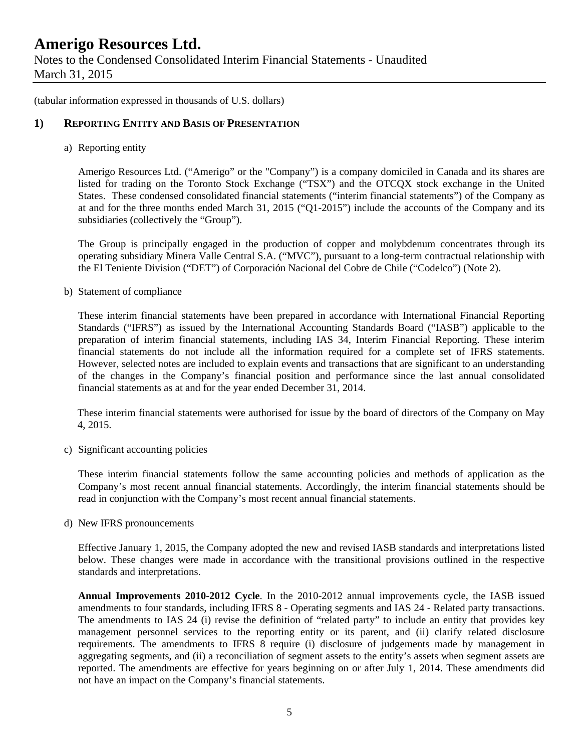Notes to the Condensed Consolidated Interim Financial Statements - Unaudited March 31, 2015

(tabular information expressed in thousands of U.S. dollars)

#### **1) REPORTING ENTITY AND BASIS OF PRESENTATION**

a) Reporting entity

Amerigo Resources Ltd. ("Amerigo" or the "Company") is a company domiciled in Canada and its shares are listed for trading on the Toronto Stock Exchange ("TSX") and the OTCQX stock exchange in the United States. These condensed consolidated financial statements ("interim financial statements") of the Company as at and for the three months ended March 31, 2015 ("Q1-2015") include the accounts of the Company and its subsidiaries (collectively the "Group").

The Group is principally engaged in the production of copper and molybdenum concentrates through its operating subsidiary Minera Valle Central S.A. ("MVC"), pursuant to a long-term contractual relationship with the El Teniente Division ("DET") of Corporación Nacional del Cobre de Chile ("Codelco") (Note 2).

b) Statement of compliance

These interim financial statements have been prepared in accordance with International Financial Reporting Standards ("IFRS") as issued by the International Accounting Standards Board ("IASB") applicable to the preparation of interim financial statements, including IAS 34, Interim Financial Reporting. These interim financial statements do not include all the information required for a complete set of IFRS statements. However, selected notes are included to explain events and transactions that are significant to an understanding of the changes in the Company's financial position and performance since the last annual consolidated financial statements as at and for the year ended December 31, 2014.

 These interim financial statements were authorised for issue by the board of directors of the Company on May 4, 2015.

c) Significant accounting policies

These interim financial statements follow the same accounting policies and methods of application as the Company's most recent annual financial statements. Accordingly, the interim financial statements should be read in conjunction with the Company's most recent annual financial statements.

d) New IFRS pronouncements

Effective January 1, 2015, the Company adopted the new and revised IASB standards and interpretations listed below. These changes were made in accordance with the transitional provisions outlined in the respective standards and interpretations.

**Annual Improvements 2010-2012 Cycle**. In the 2010-2012 annual improvements cycle, the IASB issued amendments to four standards, including IFRS 8 - Operating segments and IAS 24 - Related party transactions. The amendments to IAS 24 (i) revise the definition of "related party" to include an entity that provides key management personnel services to the reporting entity or its parent, and (ii) clarify related disclosure requirements. The amendments to IFRS 8 require (i) disclosure of judgements made by management in aggregating segments, and (ii) a reconciliation of segment assets to the entity's assets when segment assets are reported. The amendments are effective for years beginning on or after July 1, 2014. These amendments did not have an impact on the Company's financial statements.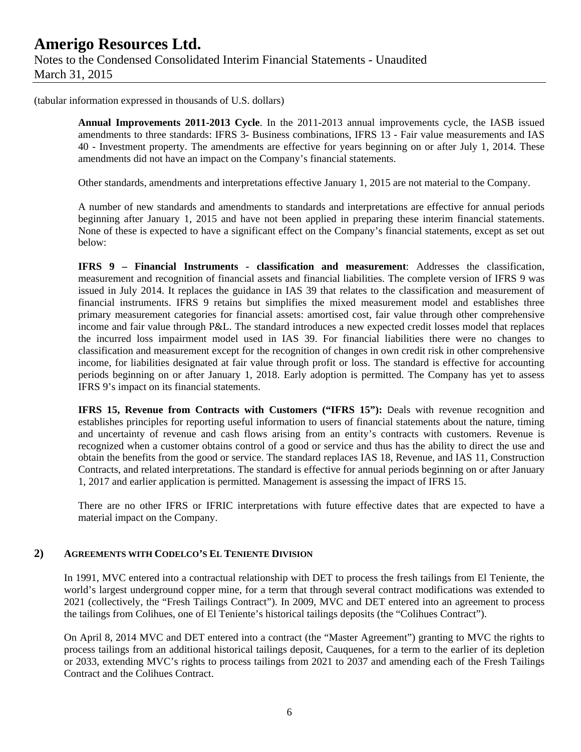(tabular information expressed in thousands of U.S. dollars)

**Annual Improvements 2011-2013 Cycle**. In the 2011-2013 annual improvements cycle, the IASB issued amendments to three standards: IFRS 3- Business combinations, IFRS 13 - Fair value measurements and IAS 40 - Investment property. The amendments are effective for years beginning on or after July 1, 2014. These amendments did not have an impact on the Company's financial statements.

Other standards, amendments and interpretations effective January 1, 2015 are not material to the Company.

A number of new standards and amendments to standards and interpretations are effective for annual periods beginning after January 1, 2015 and have not been applied in preparing these interim financial statements. None of these is expected to have a significant effect on the Company's financial statements, except as set out below:

**IFRS 9 – Financial Instruments - classification and measurement**: Addresses the classification, measurement and recognition of financial assets and financial liabilities. The complete version of IFRS 9 was issued in July 2014. It replaces the guidance in IAS 39 that relates to the classification and measurement of financial instruments. IFRS 9 retains but simplifies the mixed measurement model and establishes three primary measurement categories for financial assets: amortised cost, fair value through other comprehensive income and fair value through P&L. The standard introduces a new expected credit losses model that replaces the incurred loss impairment model used in IAS 39. For financial liabilities there were no changes to classification and measurement except for the recognition of changes in own credit risk in other comprehensive income, for liabilities designated at fair value through profit or loss. The standard is effective for accounting periods beginning on or after January 1, 2018. Early adoption is permitted. The Company has yet to assess IFRS 9's impact on its financial statements.

**IFRS 15, Revenue from Contracts with Customers ("IFRS 15"):** Deals with revenue recognition and establishes principles for reporting useful information to users of financial statements about the nature, timing and uncertainty of revenue and cash flows arising from an entity's contracts with customers. Revenue is recognized when a customer obtains control of a good or service and thus has the ability to direct the use and obtain the benefits from the good or service. The standard replaces IAS 18, Revenue, and IAS 11, Construction Contracts, and related interpretations. The standard is effective for annual periods beginning on or after January 1, 2017 and earlier application is permitted. Management is assessing the impact of IFRS 15.

There are no other IFRS or IFRIC interpretations with future effective dates that are expected to have a material impact on the Company.

#### **2) AGREEMENTS WITH CODELCO'S EL TENIENTE DIVISION**

In 1991, MVC entered into a contractual relationship with DET to process the fresh tailings from El Teniente, the world's largest underground copper mine, for a term that through several contract modifications was extended to 2021 (collectively, the "Fresh Tailings Contract"). In 2009, MVC and DET entered into an agreement to process the tailings from Colihues, one of El Teniente's historical tailings deposits (the "Colihues Contract").

On April 8, 2014 MVC and DET entered into a contract (the "Master Agreement") granting to MVC the rights to process tailings from an additional historical tailings deposit, Cauquenes, for a term to the earlier of its depletion or 2033, extending MVC's rights to process tailings from 2021 to 2037 and amending each of the Fresh Tailings Contract and the Colihues Contract.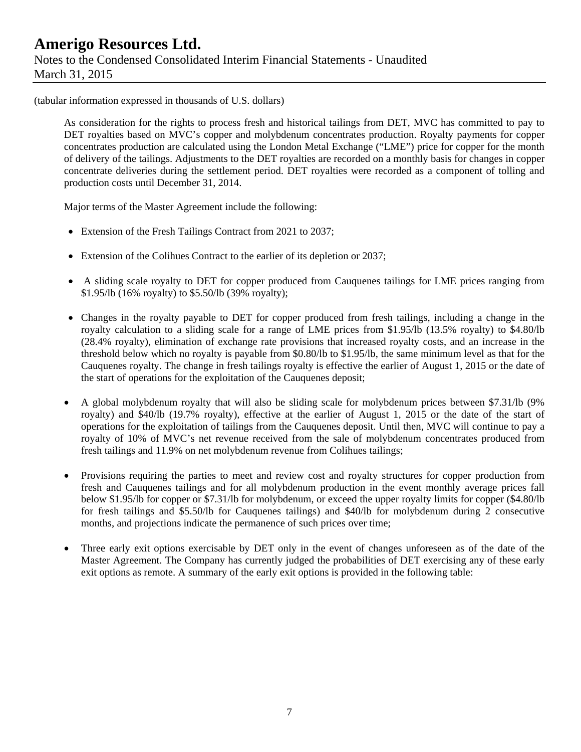(tabular information expressed in thousands of U.S. dollars)

As consideration for the rights to process fresh and historical tailings from DET, MVC has committed to pay to DET royalties based on MVC's copper and molybdenum concentrates production. Royalty payments for copper concentrates production are calculated using the London Metal Exchange ("LME") price for copper for the month of delivery of the tailings. Adjustments to the DET royalties are recorded on a monthly basis for changes in copper concentrate deliveries during the settlement period. DET royalties were recorded as a component of tolling and production costs until December 31, 2014.

Major terms of the Master Agreement include the following:

- Extension of the Fresh Tailings Contract from 2021 to 2037;
- Extension of the Colihues Contract to the earlier of its depletion or 2037;
- A sliding scale royalty to DET for copper produced from Cauquenes tailings for LME prices ranging from \$1.95/lb (16% royalty) to \$5.50/lb (39% royalty);
- Changes in the royalty payable to DET for copper produced from fresh tailings, including a change in the royalty calculation to a sliding scale for a range of LME prices from \$1.95/lb (13.5% royalty) to \$4.80/lb (28.4% royalty), elimination of exchange rate provisions that increased royalty costs, and an increase in the threshold below which no royalty is payable from \$0.80/lb to \$1.95/lb, the same minimum level as that for the Cauquenes royalty. The change in fresh tailings royalty is effective the earlier of August 1, 2015 or the date of the start of operations for the exploitation of the Cauquenes deposit;
- A global molybdenum royalty that will also be sliding scale for molybdenum prices between \$7.31/lb (9% royalty) and \$40/lb (19.7% royalty), effective at the earlier of August 1, 2015 or the date of the start of operations for the exploitation of tailings from the Cauquenes deposit. Until then, MVC will continue to pay a royalty of 10% of MVC's net revenue received from the sale of molybdenum concentrates produced from fresh tailings and 11.9% on net molybdenum revenue from Colihues tailings;
- Provisions requiring the parties to meet and review cost and royalty structures for copper production from fresh and Cauquenes tailings and for all molybdenum production in the event monthly average prices fall below \$1.95/lb for copper or \$7.31/lb for molybdenum, or exceed the upper royalty limits for copper (\$4.80/lb for fresh tailings and \$5.50/lb for Cauquenes tailings) and \$40/lb for molybdenum during 2 consecutive months, and projections indicate the permanence of such prices over time;
- Three early exit options exercisable by DET only in the event of changes unforeseen as of the date of the Master Agreement. The Company has currently judged the probabilities of DET exercising any of these early exit options as remote. A summary of the early exit options is provided in the following table: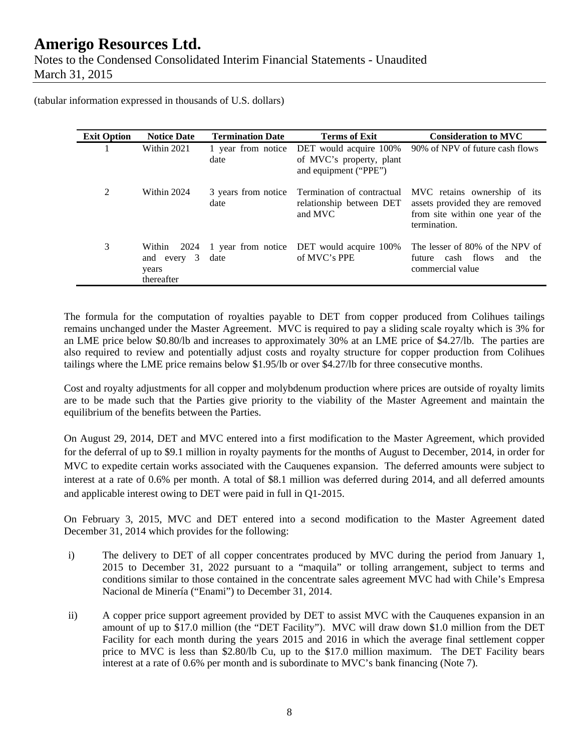### **Amerigo Resources Ltd.**  Notes to the Condensed Consolidated Interim Financial Statements - Unaudited March 31, 2015

(tabular information expressed in thousands of U.S. dollars)

| <b>Exit Option</b> | <b>Notice Date</b>                                      | <b>Termination Date</b>     | Terms of Exit                                                               | <b>Consideration to MVC</b>                                                                                          |
|--------------------|---------------------------------------------------------|-----------------------------|-----------------------------------------------------------------------------|----------------------------------------------------------------------------------------------------------------------|
|                    | Within 2021                                             | 1 year from notice<br>date  | DET would acquire 100%<br>of MVC's property, plant<br>and equipment ("PPE") | 90% of NPV of future cash flows                                                                                      |
| 2                  | Within 2024                                             | 3 years from notice<br>date | Termination of contractual<br>relationship between DET<br>and MVC           | MVC retains ownership of its<br>assets provided they are removed<br>from site within one year of the<br>termination. |
| 3                  | 2024<br>Within<br>3<br>and every<br>years<br>thereafter | date                        | 1 year from notice DET would acquire 100%<br>of MVC's PPE                   | The lesser of 80% of the NPV of<br>cash flows<br>future<br>the<br>and<br>commercial value                            |

The formula for the computation of royalties payable to DET from copper produced from Colihues tailings remains unchanged under the Master Agreement. MVC is required to pay a sliding scale royalty which is 3% for an LME price below \$0.80/lb and increases to approximately 30% at an LME price of \$4.27/lb. The parties are also required to review and potentially adjust costs and royalty structure for copper production from Colihues tailings where the LME price remains below \$1.95/lb or over \$4.27/lb for three consecutive months.

Cost and royalty adjustments for all copper and molybdenum production where prices are outside of royalty limits are to be made such that the Parties give priority to the viability of the Master Agreement and maintain the equilibrium of the benefits between the Parties.

On August 29, 2014, DET and MVC entered into a first modification to the Master Agreement, which provided for the deferral of up to \$9.1 million in royalty payments for the months of August to December, 2014, in order for MVC to expedite certain works associated with the Cauquenes expansion. The deferred amounts were subject to interest at a rate of 0.6% per month. A total of \$8.1 million was deferred during 2014, and all deferred amounts and applicable interest owing to DET were paid in full in Q1-2015.

On February 3, 2015, MVC and DET entered into a second modification to the Master Agreement dated December 31, 2014 which provides for the following:

- i) The delivery to DET of all copper concentrates produced by MVC during the period from January 1, 2015 to December 31, 2022 pursuant to a "maquila" or tolling arrangement, subject to terms and conditions similar to those contained in the concentrate sales agreement MVC had with Chile's Empresa Nacional de Minería ("Enami") to December 31, 2014.
- ii) A copper price support agreement provided by DET to assist MVC with the Cauquenes expansion in an amount of up to \$17.0 million (the "DET Facility"). MVC will draw down \$1.0 million from the DET Facility for each month during the years 2015 and 2016 in which the average final settlement copper price to MVC is less than \$2.80/lb Cu, up to the \$17.0 million maximum. The DET Facility bears interest at a rate of 0.6% per month and is subordinate to MVC's bank financing (Note 7).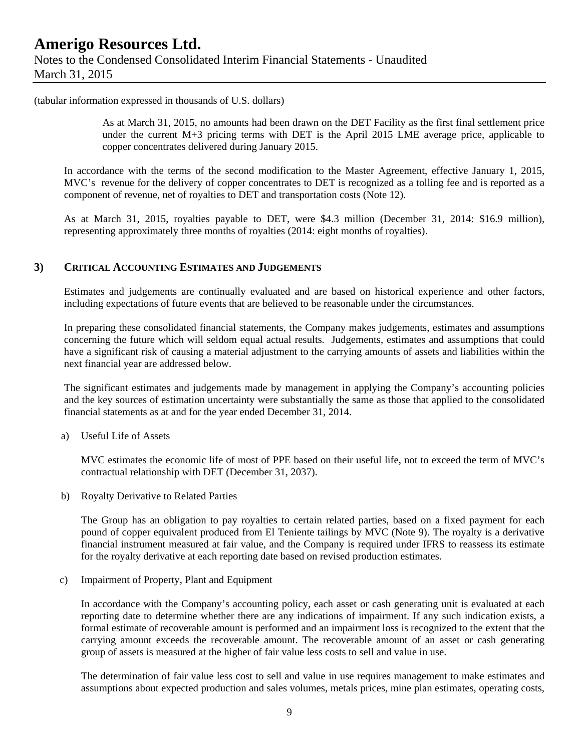### **Amerigo Resources Ltd.**  Notes to the Condensed Consolidated Interim Financial Statements - Unaudited March 31, 2015

(tabular information expressed in thousands of U.S. dollars)

As at March 31, 2015, no amounts had been drawn on the DET Facility as the first final settlement price under the current M+3 pricing terms with DET is the April 2015 LME average price, applicable to copper concentrates delivered during January 2015.

In accordance with the terms of the second modification to the Master Agreement, effective January 1, 2015, MVC's revenue for the delivery of copper concentrates to DET is recognized as a tolling fee and is reported as a component of revenue, net of royalties to DET and transportation costs (Note 12).

As at March 31, 2015, royalties payable to DET, were \$4.3 million (December 31, 2014: \$16.9 million), representing approximately three months of royalties (2014: eight months of royalties).

#### **3) CRITICAL ACCOUNTING ESTIMATES AND JUDGEMENTS**

Estimates and judgements are continually evaluated and are based on historical experience and other factors, including expectations of future events that are believed to be reasonable under the circumstances.

In preparing these consolidated financial statements, the Company makes judgements, estimates and assumptions concerning the future which will seldom equal actual results. Judgements, estimates and assumptions that could have a significant risk of causing a material adjustment to the carrying amounts of assets and liabilities within the next financial year are addressed below.

The significant estimates and judgements made by management in applying the Company's accounting policies and the key sources of estimation uncertainty were substantially the same as those that applied to the consolidated financial statements as at and for the year ended December 31, 2014.

a) Useful Life of Assets

MVC estimates the economic life of most of PPE based on their useful life, not to exceed the term of MVC's contractual relationship with DET (December 31, 2037).

b) Royalty Derivative to Related Parties

The Group has an obligation to pay royalties to certain related parties, based on a fixed payment for each pound of copper equivalent produced from El Teniente tailings by MVC (Note 9). The royalty is a derivative financial instrument measured at fair value, and the Company is required under IFRS to reassess its estimate for the royalty derivative at each reporting date based on revised production estimates.

c) Impairment of Property, Plant and Equipment

In accordance with the Company's accounting policy, each asset or cash generating unit is evaluated at each reporting date to determine whether there are any indications of impairment. If any such indication exists, a formal estimate of recoverable amount is performed and an impairment loss is recognized to the extent that the carrying amount exceeds the recoverable amount. The recoverable amount of an asset or cash generating group of assets is measured at the higher of fair value less costs to sell and value in use.

The determination of fair value less cost to sell and value in use requires management to make estimates and assumptions about expected production and sales volumes, metals prices, mine plan estimates, operating costs,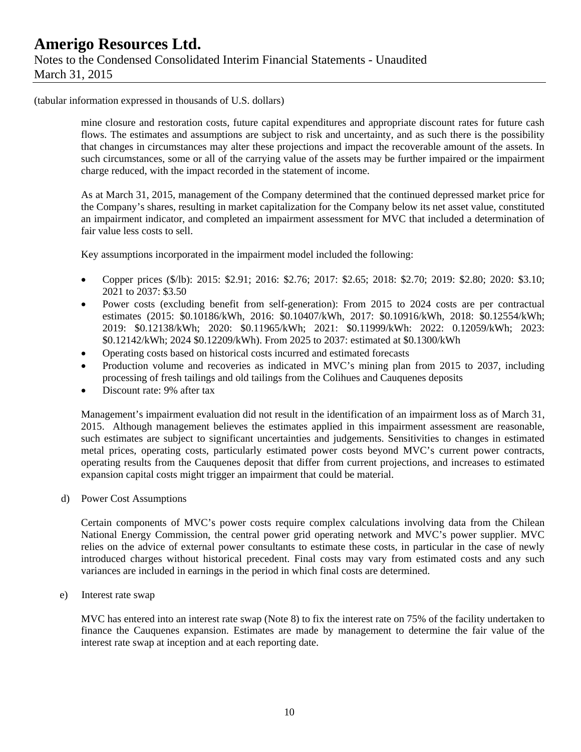#### (tabular information expressed in thousands of U.S. dollars)

mine closure and restoration costs, future capital expenditures and appropriate discount rates for future cash flows. The estimates and assumptions are subject to risk and uncertainty, and as such there is the possibility that changes in circumstances may alter these projections and impact the recoverable amount of the assets. In such circumstances, some or all of the carrying value of the assets may be further impaired or the impairment charge reduced, with the impact recorded in the statement of income.

As at March 31, 2015, management of the Company determined that the continued depressed market price for the Company's shares, resulting in market capitalization for the Company below its net asset value, constituted an impairment indicator, and completed an impairment assessment for MVC that included a determination of fair value less costs to sell.

Key assumptions incorporated in the impairment model included the following:

- Copper prices (\$/lb): 2015: \$2.91; 2016: \$2.76; 2017: \$2.65; 2018: \$2.70; 2019: \$2.80; 2020: \$3.10; 2021 to 2037: \$3.50
- Power costs (excluding benefit from self-generation): From 2015 to 2024 costs are per contractual estimates (2015: \$0.10186/kWh, 2016: \$0.10407/kWh, 2017: \$0.10916/kWh, 2018: \$0.12554/kWh; 2019: \$0.12138/kWh; 2020: \$0.11965/kWh; 2021: \$0.11999/kWh: 2022: 0.12059/kWh; 2023: \$0.12142/kWh; 2024 \$0.12209/kWh). From 2025 to 2037: estimated at \$0.1300/kWh
- Operating costs based on historical costs incurred and estimated forecasts
- Production volume and recoveries as indicated in MVC's mining plan from 2015 to 2037, including processing of fresh tailings and old tailings from the Colihues and Cauquenes deposits
- Discount rate: 9% after tax

Management's impairment evaluation did not result in the identification of an impairment loss as of March 31, 2015. Although management believes the estimates applied in this impairment assessment are reasonable, such estimates are subject to significant uncertainties and judgements. Sensitivities to changes in estimated metal prices, operating costs, particularly estimated power costs beyond MVC's current power contracts, operating results from the Cauquenes deposit that differ from current projections, and increases to estimated expansion capital costs might trigger an impairment that could be material.

d) Power Cost Assumptions

Certain components of MVC's power costs require complex calculations involving data from the Chilean National Energy Commission, the central power grid operating network and MVC's power supplier. MVC relies on the advice of external power consultants to estimate these costs, in particular in the case of newly introduced charges without historical precedent. Final costs may vary from estimated costs and any such variances are included in earnings in the period in which final costs are determined.

e) Interest rate swap

MVC has entered into an interest rate swap (Note 8) to fix the interest rate on 75% of the facility undertaken to finance the Cauquenes expansion. Estimates are made by management to determine the fair value of the interest rate swap at inception and at each reporting date.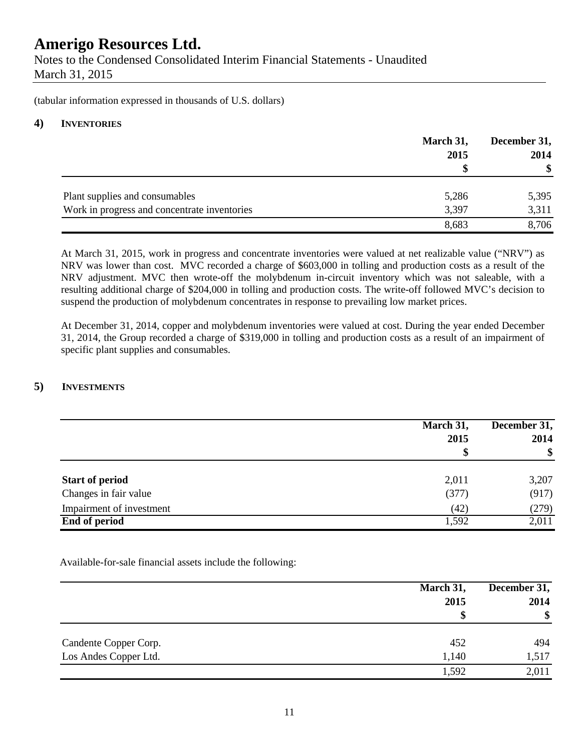Notes to the Condensed Consolidated Interim Financial Statements - Unaudited March 31, 2015

(tabular information expressed in thousands of U.S. dollars)

#### **4) INVENTORIES**

|                                              | March 31,<br>2015 | December 31,<br>2014 |
|----------------------------------------------|-------------------|----------------------|
|                                              | S                 | $\mathbf{\$}$        |
| Plant supplies and consumables               | 5,286             | 5,395                |
| Work in progress and concentrate inventories | 3,397             | 3,311                |
|                                              | 8,683             | 8,706                |

At March 31, 2015, work in progress and concentrate inventories were valued at net realizable value ("NRV") as NRV was lower than cost. MVC recorded a charge of \$603,000 in tolling and production costs as a result of the NRV adjustment. MVC then wrote-off the molybdenum in-circuit inventory which was not saleable, with a resulting additional charge of \$204,000 in tolling and production costs. The write-off followed MVC's decision to suspend the production of molybdenum concentrates in response to prevailing low market prices.

At December 31, 2014, copper and molybdenum inventories were valued at cost. During the year ended December 31, 2014, the Group recorded a charge of \$319,000 in tolling and production costs as a result of an impairment of specific plant supplies and consumables.

#### **5) INVESTMENTS**

|                          | March 31,<br>2015 | December 31,<br>2014<br>\$ |
|--------------------------|-------------------|----------------------------|
|                          | \$                |                            |
| <b>Start of period</b>   | 2,011             | 3,207                      |
| Changes in fair value    | (377)             | (917)                      |
| Impairment of investment | (42)              | (279)                      |
| <b>End of period</b>     | 1,592             | 2,011                      |

Available-for-sale financial assets include the following:

|                       | March 31,<br>2015<br>\$ | December 31,<br>2014<br>$\frac{1}{2}$ |
|-----------------------|-------------------------|---------------------------------------|
| Candente Copper Corp. | 452                     | 494                                   |
| Los Andes Copper Ltd. | 1,140                   | 1,517                                 |
|                       | 1,592                   | 2,011                                 |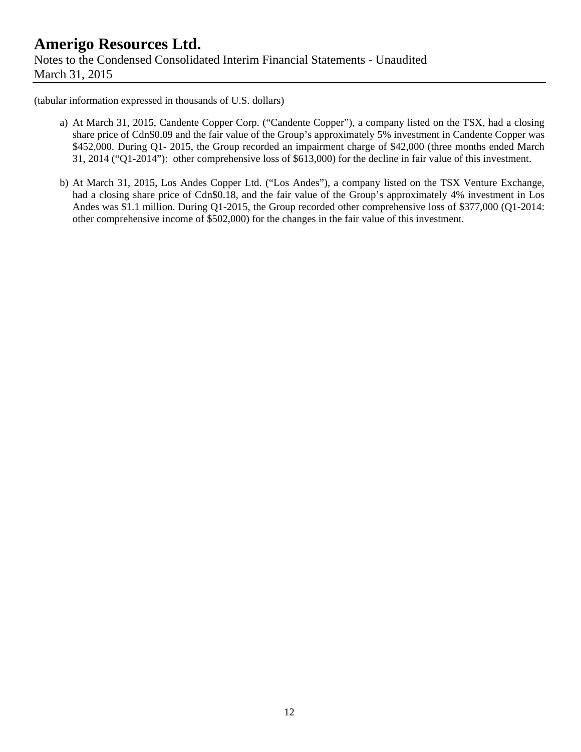### **Amerigo Resources Ltd.**  Notes to the Condensed Consolidated Interim Financial Statements - Unaudited March 31, 2015

(tabular information expressed in thousands of U.S. dollars)

- a) At March 31, 2015, Candente Copper Corp. ("Candente Copper"), a company listed on the TSX, had a closing share price of Cdn\$0.09 and the fair value of the Group's approximately 5% investment in Candente Copper was \$452,000. During Q1- 2015, the Group recorded an impairment charge of \$42,000 (three months ended March 31, 2014 ("Q1-2014"): other comprehensive loss of \$613,000) for the decline in fair value of this investment.
- b) At March 31, 2015, Los Andes Copper Ltd. ("Los Andes"), a company listed on the TSX Venture Exchange, had a closing share price of Cdn\$0.18, and the fair value of the Group's approximately 4% investment in Los Andes was \$1.1 million. During Q1-2015, the Group recorded other comprehensive loss of \$377,000 (Q1-2014: other comprehensive income of \$502,000) for the changes in the fair value of this investment.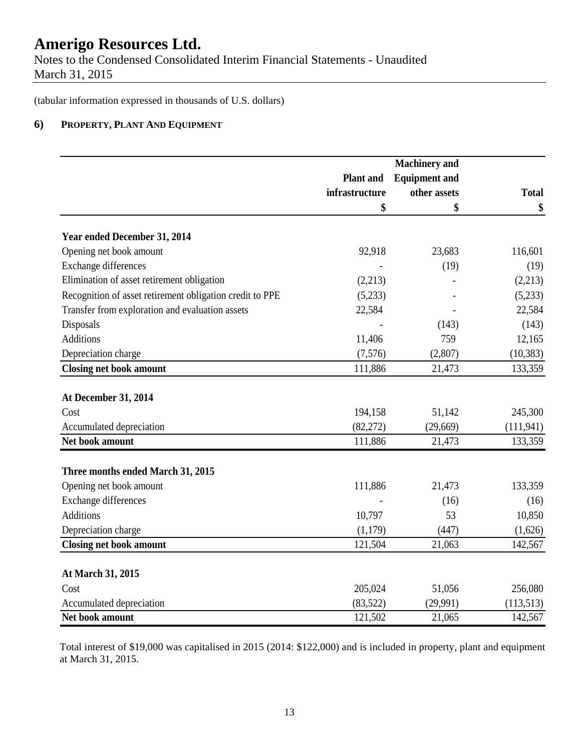Notes to the Condensed Consolidated Interim Financial Statements - Unaudited March 31, 2015

(tabular information expressed in thousands of U.S. dollars)

#### **6) PROPERTY, PLANT AND EQUIPMENT**

|                                                          | <b>Machinery</b> and |                      |              |
|----------------------------------------------------------|----------------------|----------------------|--------------|
|                                                          | <b>Plant</b> and     | <b>Equipment and</b> |              |
|                                                          | infrastructure       | other assets         | <b>Total</b> |
|                                                          | \$                   | \$                   | \$           |
|                                                          |                      |                      |              |
| Year ended December 31, 2014                             |                      |                      |              |
| Opening net book amount                                  | 92,918               | 23,683               | 116,601      |
| <b>Exchange differences</b>                              |                      | (19)                 | (19)         |
| Elimination of asset retirement obligation               | (2,213)              |                      | (2,213)      |
| Recognition of asset retirement obligation credit to PPE | (5,233)              |                      | (5,233)      |
| Transfer from exploration and evaluation assets          | 22,584               |                      | 22,584       |
| Disposals                                                |                      | (143)                | (143)        |
| <b>Additions</b>                                         | 11,406               | 759                  | 12,165       |
| Depreciation charge                                      | (7,576)              | (2,807)              | (10, 383)    |
| <b>Closing net book amount</b>                           | 111,886              | 21,473               | 133,359      |
| At December 31, 2014                                     |                      |                      |              |
| Cost                                                     | 194,158              | 51,142               | 245,300      |
| Accumulated depreciation                                 | (82,272)             | (29,669)             | (111, 941)   |
| Net book amount                                          | 111,886              | 21,473               | 133,359      |
|                                                          |                      |                      |              |
| Three months ended March 31, 2015                        |                      |                      |              |
| Opening net book amount                                  | 111,886              | 21,473               | 133,359      |
| Exchange differences                                     |                      | (16)                 | (16)         |
| <b>Additions</b>                                         | 10,797               | 53                   | 10,850       |
| Depreciation charge                                      | (1,179)              | (447)                | (1,626)      |
| <b>Closing net book amount</b>                           | 121,504              | 21,063               | 142,567      |
| At March 31, 2015                                        |                      |                      |              |
| Cost                                                     | 205,024              | 51,056               | 256,080      |
| Accumulated depreciation                                 | (83, 522)            | (29,991)             | (113,513)    |
| Net book amount                                          | 121,502              | 21,065               | 142,567      |

Total interest of \$19,000 was capitalised in 2015 (2014: \$122,000) and is included in property, plant and equipment at March 31, 2015.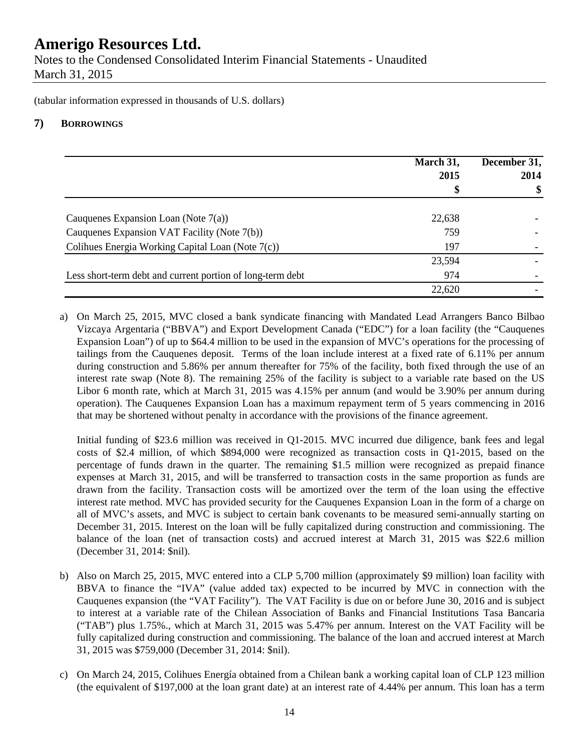Notes to the Condensed Consolidated Interim Financial Statements - Unaudited March 31, 2015

(tabular information expressed in thousands of U.S. dollars)

#### **7) BORROWINGS**

|                                                            | March 31,<br>2015<br>\$ | December 31,<br>2014<br>\$ |
|------------------------------------------------------------|-------------------------|----------------------------|
|                                                            |                         |                            |
| Cauquenes Expansion Loan (Note $7(a)$ )                    | 22,638                  |                            |
| Cauquenes Expansion VAT Facility (Note 7(b))               | 759                     |                            |
| Colihues Energia Working Capital Loan (Note 7(c))          | 197                     |                            |
|                                                            | 23,594                  |                            |
| Less short-term debt and current portion of long-term debt | 974                     |                            |
|                                                            | 22,620                  |                            |

a) On March 25, 2015, MVC closed a bank syndicate financing with Mandated Lead Arrangers Banco Bilbao Vizcaya Argentaria ("BBVA") and Export Development Canada ("EDC") for a loan facility (the "Cauquenes Expansion Loan") of up to \$64.4 million to be used in the expansion of MVC's operations for the processing of tailings from the Cauquenes deposit. Terms of the loan include interest at a fixed rate of 6.11% per annum during construction and 5.86% per annum thereafter for 75% of the facility, both fixed through the use of an interest rate swap (Note 8). The remaining 25% of the facility is subject to a variable rate based on the US Libor 6 month rate, which at March 31, 2015 was 4.15% per annum (and would be 3.90% per annum during operation). The Cauquenes Expansion Loan has a maximum repayment term of 5 years commencing in 2016 that may be shortened without penalty in accordance with the provisions of the finance agreement.

Initial funding of \$23.6 million was received in Q1-2015. MVC incurred due diligence, bank fees and legal costs of \$2.4 million, of which \$894,000 were recognized as transaction costs in Q1-2015, based on the percentage of funds drawn in the quarter. The remaining \$1.5 million were recognized as prepaid finance expenses at March 31, 2015, and will be transferred to transaction costs in the same proportion as funds are drawn from the facility. Transaction costs will be amortized over the term of the loan using the effective interest rate method. MVC has provided security for the Cauquenes Expansion Loan in the form of a charge on all of MVC's assets, and MVC is subject to certain bank covenants to be measured semi-annually starting on December 31, 2015. Interest on the loan will be fully capitalized during construction and commissioning. The balance of the loan (net of transaction costs) and accrued interest at March 31, 2015 was \$22.6 million (December 31, 2014: \$nil).

- b) Also on March 25, 2015, MVC entered into a CLP 5,700 million (approximately \$9 million) loan facility with BBVA to finance the "IVA" (value added tax) expected to be incurred by MVC in connection with the Cauquenes expansion (the "VAT Facility"). The VAT Facility is due on or before June 30, 2016 and is subject to interest at a variable rate of the Chilean Association of Banks and Financial Institutions Tasa Bancaria ("TAB") plus 1.75%., which at March 31, 2015 was 5.47% per annum. Interest on the VAT Facility will be fully capitalized during construction and commissioning. The balance of the loan and accrued interest at March 31, 2015 was \$759,000 (December 31, 2014: \$nil).
- c) On March 24, 2015, Colihues Energía obtained from a Chilean bank a working capital loan of CLP 123 million (the equivalent of \$197,000 at the loan grant date) at an interest rate of 4.44% per annum. This loan has a term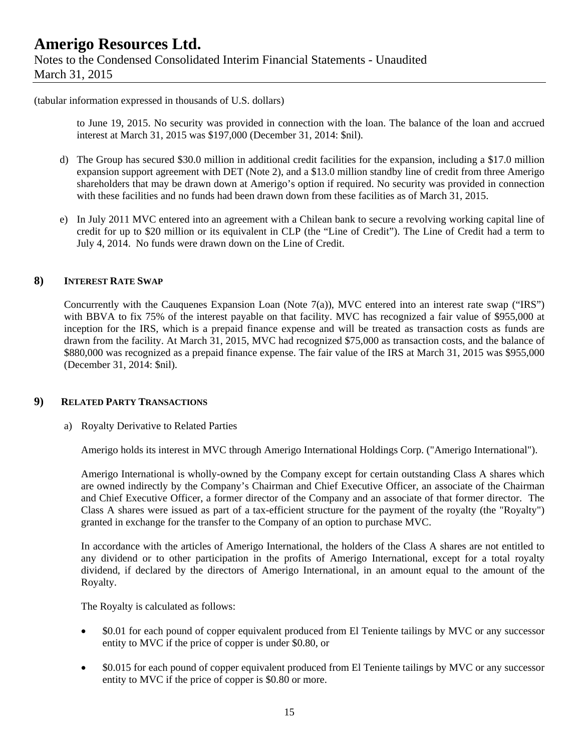(tabular information expressed in thousands of U.S. dollars)

to June 19, 2015. No security was provided in connection with the loan. The balance of the loan and accrued interest at March 31, 2015 was \$197,000 (December 31, 2014: \$nil).

- d) The Group has secured \$30.0 million in additional credit facilities for the expansion, including a \$17.0 million expansion support agreement with DET (Note 2), and a \$13.0 million standby line of credit from three Amerigo shareholders that may be drawn down at Amerigo's option if required. No security was provided in connection with these facilities and no funds had been drawn down from these facilities as of March 31, 2015.
- e) In July 2011 MVC entered into an agreement with a Chilean bank to secure a revolving working capital line of credit for up to \$20 million or its equivalent in CLP (the "Line of Credit"). The Line of Credit had a term to July 4, 2014. No funds were drawn down on the Line of Credit.

#### **8) INTEREST RATE SWAP**

Concurrently with the Cauquenes Expansion Loan (Note 7(a)), MVC entered into an interest rate swap ("IRS") with BBVA to fix 75% of the interest payable on that facility. MVC has recognized a fair value of \$955,000 at inception for the IRS, which is a prepaid finance expense and will be treated as transaction costs as funds are drawn from the facility. At March 31, 2015, MVC had recognized \$75,000 as transaction costs, and the balance of \$880,000 was recognized as a prepaid finance expense. The fair value of the IRS at March 31, 2015 was \$955,000 (December 31, 2014: \$nil).

#### **9) RELATED PARTY TRANSACTIONS**

a) Royalty Derivative to Related Parties

Amerigo holds its interest in MVC through Amerigo International Holdings Corp. ("Amerigo International").

Amerigo International is wholly-owned by the Company except for certain outstanding Class A shares which are owned indirectly by the Company's Chairman and Chief Executive Officer, an associate of the Chairman and Chief Executive Officer, a former director of the Company and an associate of that former director. The Class A shares were issued as part of a tax-efficient structure for the payment of the royalty (the "Royalty") granted in exchange for the transfer to the Company of an option to purchase MVC.

In accordance with the articles of Amerigo International, the holders of the Class A shares are not entitled to any dividend or to other participation in the profits of Amerigo International, except for a total royalty dividend, if declared by the directors of Amerigo International, in an amount equal to the amount of the Royalty.

The Royalty is calculated as follows:

- \$0.01 for each pound of copper equivalent produced from El Teniente tailings by MVC or any successor entity to MVC if the price of copper is under \$0.80, or
- \$0.015 for each pound of copper equivalent produced from El Teniente tailings by MVC or any successor entity to MVC if the price of copper is \$0.80 or more.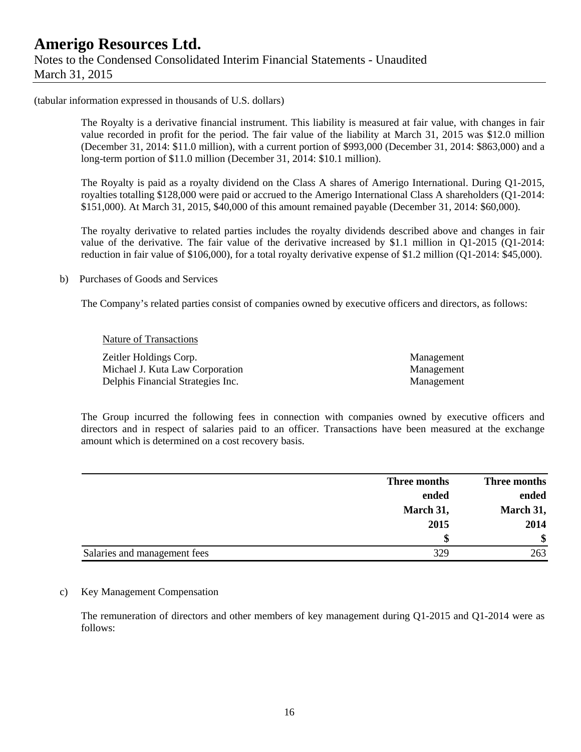(tabular information expressed in thousands of U.S. dollars)

The Royalty is a derivative financial instrument. This liability is measured at fair value, with changes in fair value recorded in profit for the period. The fair value of the liability at March 31, 2015 was \$12.0 million (December 31, 2014: \$11.0 million), with a current portion of \$993,000 (December 31, 2014: \$863,000) and a long-term portion of \$11.0 million (December 31, 2014: \$10.1 million).

The Royalty is paid as a royalty dividend on the Class A shares of Amerigo International. During Q1-2015, royalties totalling \$128,000 were paid or accrued to the Amerigo International Class A shareholders (Q1-2014: \$151,000). At March 31, 2015, \$40,000 of this amount remained payable (December 31, 2014: \$60,000).

The royalty derivative to related parties includes the royalty dividends described above and changes in fair value of the derivative. The fair value of the derivative increased by \$1.1 million in Q1-2015 (Q1-2014: reduction in fair value of \$106,000), for a total royalty derivative expense of \$1.2 million (Q1-2014: \$45,000).

b) Purchases of Goods and Services

The Company's related parties consist of companies owned by executive officers and directors, as follows:

 Nature of Transactions Zeitler Holdings Corp. Management Michael J. Kuta Law Corporation **Management** Management Delphis Financial Strategies Inc. Management

The Group incurred the following fees in connection with companies owned by executive officers and directors and in respect of salaries paid to an officer. Transactions have been measured at the exchange amount which is determined on a cost recovery basis.

|                              | Three months | Three months |
|------------------------------|--------------|--------------|
|                              | ended        | ended        |
|                              | March 31,    | March 31,    |
|                              | 2015         | 2014         |
|                              | S            | \$           |
| Salaries and management fees | 329          | 263          |

#### c) Key Management Compensation

The remuneration of directors and other members of key management during Q1-2015 and Q1-2014 were as follows: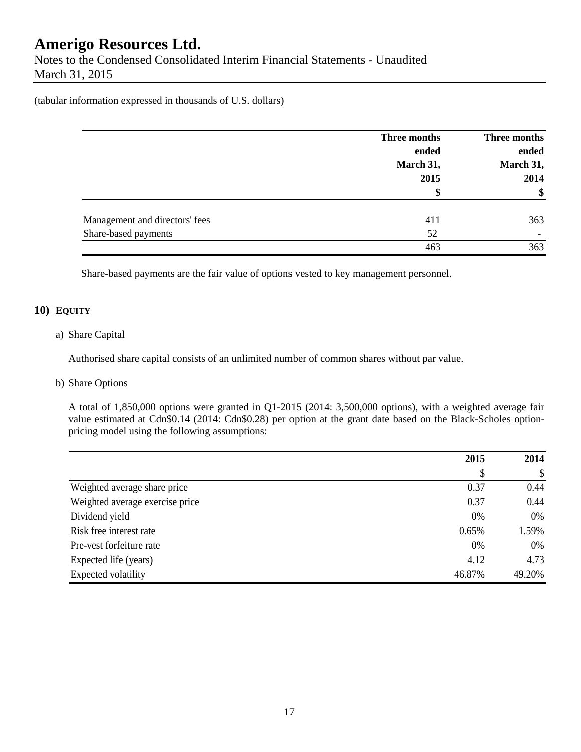Notes to the Condensed Consolidated Interim Financial Statements - Unaudited March 31, 2015

(tabular information expressed in thousands of U.S. dollars)

|                                | Three months<br>ended | Three months<br>ended |
|--------------------------------|-----------------------|-----------------------|
|                                | March 31,             | March 31,             |
|                                | 2015                  | 2014                  |
|                                | \$                    | \$                    |
| Management and directors' fees | 411                   | 363                   |
| Share-based payments           | 52                    |                       |
|                                | 463                   | 363                   |

Share-based payments are the fair value of options vested to key management personnel.

#### **10) EQUITY**

#### a) Share Capital

Authorised share capital consists of an unlimited number of common shares without par value.

#### b) Share Options

A total of 1,850,000 options were granted in Q1-2015 (2014: 3,500,000 options), with a weighted average fair value estimated at Cdn\$0.14 (2014: Cdn\$0.28) per option at the grant date based on the Black-Scholes optionpricing model using the following assumptions:

|                                 | 2015   | 2014   |  |
|---------------------------------|--------|--------|--|
|                                 | S      | \$     |  |
| Weighted average share price    | 0.37   | 0.44   |  |
| Weighted average exercise price | 0.37   | 0.44   |  |
| Dividend yield                  | 0%     | 0%     |  |
| Risk free interest rate         | 0.65%  | 1.59%  |  |
| Pre-vest forfeiture rate        | 0%     | 0%     |  |
| Expected life (years)           | 4.12   | 4.73   |  |
| Expected volatility             | 46.87% | 49.20% |  |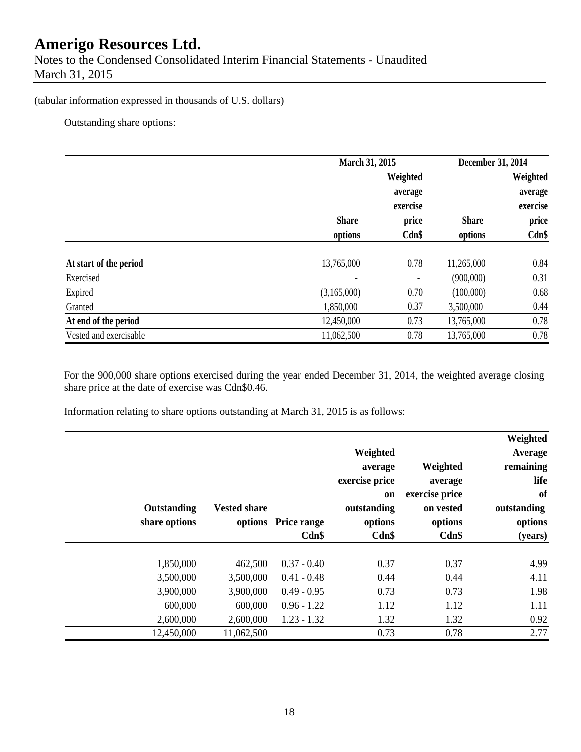Notes to the Condensed Consolidated Interim Financial Statements - Unaudited March 31, 2015

#### (tabular information expressed in thousands of U.S. dollars)

Outstanding share options:

|                        | March 31, 2015 |          | December 31, 2014 |          |
|------------------------|----------------|----------|-------------------|----------|
|                        |                | Weighted |                   | Weighted |
|                        |                | average  |                   | average  |
|                        |                | exercise |                   | exercise |
|                        | <b>Share</b>   | price    | <b>Share</b>      | price    |
|                        | options        | Cdn\$    | options           | Cdn\$    |
|                        |                |          |                   |          |
| At start of the period | 13,765,000     | 0.78     | 11,265,000        | 0.84     |
| Exercised              |                |          | (900,000)         | 0.31     |
| Expired                | (3,165,000)    | 0.70     | (100,000)         | 0.68     |
| Granted                | 1,850,000      | 0.37     | 3,500,000         | 0.44     |
| At end of the period   | 12,450,000     | 0.73     | 13,765,000        | 0.78     |
| Vested and exercisable | 11,062,500     | 0.78     | 13,765,000        | 0.78     |

For the 900,000 share options exercised during the year ended December 31, 2014, the weighted average closing share price at the date of exercise was Cdn\$0.46.

Information relating to share options outstanding at March 31, 2015 is as follows:

|               |                     |                     | Weighted       |                | Weighted<br>Average |
|---------------|---------------------|---------------------|----------------|----------------|---------------------|
|               |                     |                     | average        | Weighted       | remaining           |
|               |                     |                     | exercise price | average        | life                |
|               |                     |                     | on             | exercise price | of                  |
| Outstanding   | <b>Vested share</b> |                     | outstanding    | on vested      | outstanding         |
| share options |                     | options Price range | options        | options        | options             |
|               |                     | $Cdn$ \$            | Cdn\$          | Cdn\$          | (years)             |
|               |                     |                     |                |                |                     |
| 1,850,000     | 462,500             | $0.37 - 0.40$       | 0.37           | 0.37           | 4.99                |
| 3,500,000     | 3,500,000           | $0.41 - 0.48$       | 0.44           | 0.44           | 4.11                |
| 3,900,000     | 3,900,000           | $0.49 - 0.95$       | 0.73           | 0.73           | 1.98                |
| 600,000       | 600,000             | $0.96 - 1.22$       | 1.12           | 1.12           | 1.11                |
| 2,600,000     | 2,600,000           | $1.23 - 1.32$       | 1.32           | 1.32           | 0.92                |
| 12,450,000    | 11,062,500          |                     | 0.73           | 0.78           | 2.77                |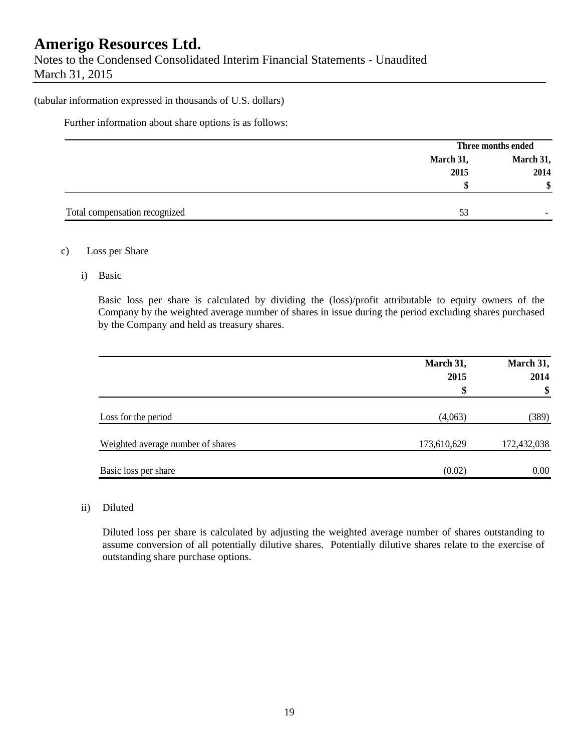Notes to the Condensed Consolidated Interim Financial Statements - Unaudited March 31, 2015

#### (tabular information expressed in thousands of U.S. dollars)

Further information about share options is as follows:

|                               |           | Three months ended |  |
|-------------------------------|-----------|--------------------|--|
|                               | March 31, | March 31,          |  |
|                               | 2015      | 2014               |  |
|                               |           |                    |  |
|                               |           |                    |  |
| Total compensation recognized | 53        |                    |  |

#### c) Loss per Share

i) Basic

Basic loss per share is calculated by dividing the (loss)/profit attributable to equity owners of the Company by the weighted average number of shares in issue during the period excluding shares purchased by the Company and held as treasury shares.

|                                   | March 31,<br>2015<br>\$ | March 31,<br>2014<br>\$ |
|-----------------------------------|-------------------------|-------------------------|
| Loss for the period               | (4,063)                 | (389)                   |
| Weighted average number of shares | 173,610,629             | 172,432,038             |
| Basic loss per share              | (0.02)                  | 0.00                    |

#### ii) Diluted

Diluted loss per share is calculated by adjusting the weighted average number of shares outstanding to assume conversion of all potentially dilutive shares. Potentially dilutive shares relate to the exercise of outstanding share purchase options.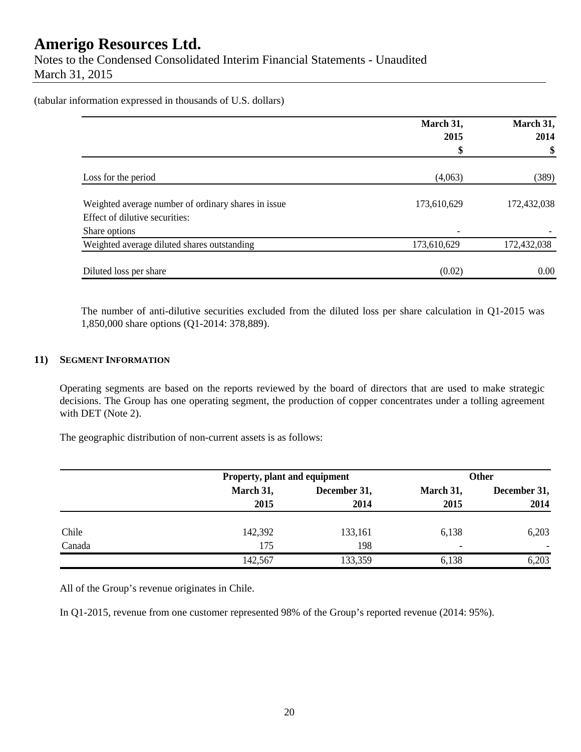Notes to the Condensed Consolidated Interim Financial Statements - Unaudited March 31, 2015

(tabular information expressed in thousands of U.S. dollars)

|                                                                                       | March 31,<br>March 31,   |             |  |
|---------------------------------------------------------------------------------------|--------------------------|-------------|--|
|                                                                                       | 2015                     | 2014        |  |
|                                                                                       |                          |             |  |
| Loss for the period                                                                   | (4,063)                  | (389)       |  |
| Weighted average number of ordinary shares in issue<br>Effect of dilutive securities: | 173,610,629              | 172,432,038 |  |
| Share options                                                                         | $\overline{\phantom{a}}$ |             |  |
| Weighted average diluted shares outstanding                                           | 173,610,629              | 172,432,038 |  |
| Diluted loss per share                                                                | (0.02)                   | 0.00        |  |

The number of anti-dilutive securities excluded from the diluted loss per share calculation in Q1-2015 was 1,850,000 share options (Q1-2014: 378,889).

#### **11) SEGMENT INFORMATION**

Operating segments are based on the reports reviewed by the board of directors that are used to make strategic decisions. The Group has one operating segment, the production of copper concentrates under a tolling agreement with DET (Note 2).

The geographic distribution of non-current assets is as follows:

|        |           | Property, plant and equipment |           | Other        |  |
|--------|-----------|-------------------------------|-----------|--------------|--|
|        | March 31, | December 31,                  | March 31, | December 31, |  |
|        | 2015      | 2014                          | 2015      | 2014         |  |
| Chile  | 142,392   | 133,161                       | 6,138     | 6,203        |  |
| Canada | 175       | 198                           | -         |              |  |
|        | 142,567   | 133,359                       | 6,138     | 6,203        |  |

All of the Group's revenue originates in Chile.

In Q1-2015, revenue from one customer represented 98% of the Group's reported revenue (2014: 95%).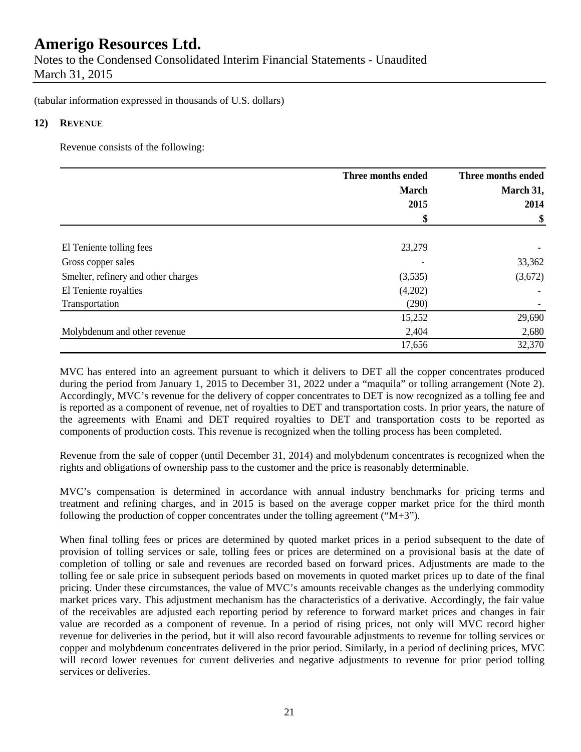Notes to the Condensed Consolidated Interim Financial Statements - Unaudited March 31, 2015

(tabular information expressed in thousands of U.S. dollars)

#### **12) REVENUE**

Revenue consists of the following:

|                                     | Three months ended | Three months ended |
|-------------------------------------|--------------------|--------------------|
|                                     | <b>March</b>       | March 31,          |
|                                     | 2015               | 2014               |
|                                     | \$                 | \$                 |
|                                     |                    |                    |
| El Teniente tolling fees            | 23,279             |                    |
| Gross copper sales                  |                    | 33,362             |
| Smelter, refinery and other charges | (3,535)            | (3,672)            |
| El Teniente royalties               | (4,202)            |                    |
| Transportation                      | (290)              |                    |
|                                     | 15,252             | 29,690             |
| Molybdenum and other revenue        | 2,404              | 2,680              |
|                                     | 17,656             | 32,370             |

MVC has entered into an agreement pursuant to which it delivers to DET all the copper concentrates produced during the period from January 1, 2015 to December 31, 2022 under a "maquila" or tolling arrangement (Note 2). Accordingly, MVC's revenue for the delivery of copper concentrates to DET is now recognized as a tolling fee and is reported as a component of revenue, net of royalties to DET and transportation costs. In prior years, the nature of the agreements with Enami and DET required royalties to DET and transportation costs to be reported as components of production costs. This revenue is recognized when the tolling process has been completed.

Revenue from the sale of copper (until December 31, 2014) and molybdenum concentrates is recognized when the rights and obligations of ownership pass to the customer and the price is reasonably determinable.

MVC's compensation is determined in accordance with annual industry benchmarks for pricing terms and treatment and refining charges, and in 2015 is based on the average copper market price for the third month following the production of copper concentrates under the tolling agreement ( $(M+3)$ ).

When final tolling fees or prices are determined by quoted market prices in a period subsequent to the date of provision of tolling services or sale, tolling fees or prices are determined on a provisional basis at the date of completion of tolling or sale and revenues are recorded based on forward prices. Adjustments are made to the tolling fee or sale price in subsequent periods based on movements in quoted market prices up to date of the final pricing. Under these circumstances, the value of MVC's amounts receivable changes as the underlying commodity market prices vary. This adjustment mechanism has the characteristics of a derivative. Accordingly, the fair value of the receivables are adjusted each reporting period by reference to forward market prices and changes in fair value are recorded as a component of revenue. In a period of rising prices, not only will MVC record higher revenue for deliveries in the period, but it will also record favourable adjustments to revenue for tolling services or copper and molybdenum concentrates delivered in the prior period. Similarly, in a period of declining prices, MVC will record lower revenues for current deliveries and negative adjustments to revenue for prior period tolling services or deliveries.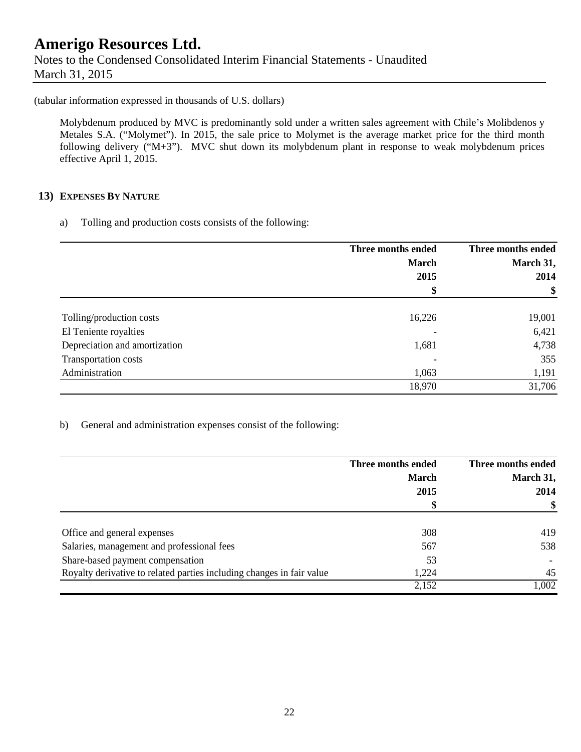### **Amerigo Resources Ltd.**  Notes to the Condensed Consolidated Interim Financial Statements - Unaudited March 31, 2015

(tabular information expressed in thousands of U.S. dollars)

Molybdenum produced by MVC is predominantly sold under a written sales agreement with Chile's Molibdenos y Metales S.A. ("Molymet"). In 2015, the sale price to Molymet is the average market price for the third month following delivery ("M+3"). MVC shut down its molybdenum plant in response to weak molybdenum prices effective April 1, 2015.

#### **13) EXPENSES BY NATURE**

a) Tolling and production costs consists of the following:

|                               | Three months ended | Three months ended |
|-------------------------------|--------------------|--------------------|
|                               | <b>March</b>       | March 31,          |
|                               | 2015               | 2014               |
|                               | \$                 | \$                 |
|                               |                    |                    |
| Tolling/production costs      | 16,226             | 19,001             |
| El Teniente royalties         |                    | 6,421              |
| Depreciation and amortization | 1,681              | 4,738              |
| Transportation costs          |                    | 355                |
| Administration                | 1,063              | 1,191              |
|                               | 18,970             | 31,706             |

b) General and administration expenses consist of the following:

|                                                                       | Three months ended | Three months ended |
|-----------------------------------------------------------------------|--------------------|--------------------|
|                                                                       | <b>March</b>       | March 31,          |
|                                                                       | 2015               | 2014               |
|                                                                       | \$                 | \$                 |
| Office and general expenses                                           | 308                | 419                |
| Salaries, management and professional fees                            | 567                | 538                |
| Share-based payment compensation                                      | 53                 |                    |
| Royalty derivative to related parties including changes in fair value | 1,224              | 45                 |
|                                                                       | 2,152              | 1,002              |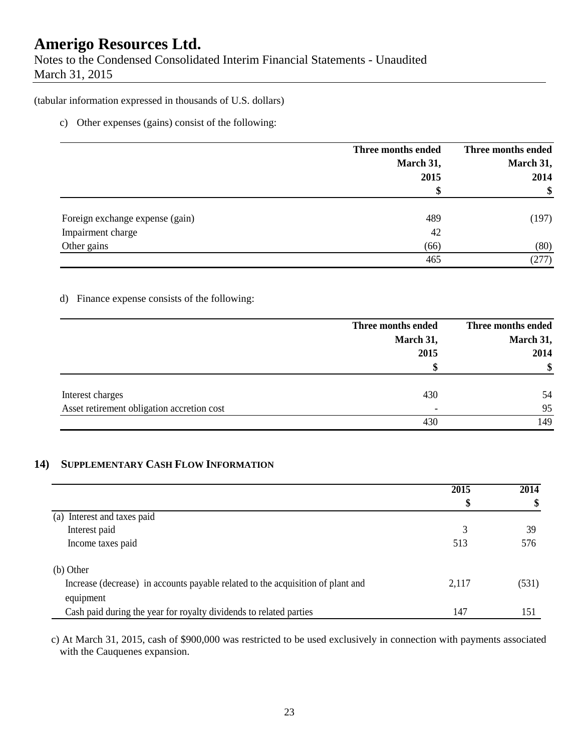Notes to the Condensed Consolidated Interim Financial Statements - Unaudited March 31, 2015

#### (tabular information expressed in thousands of U.S. dollars)

#### c) Other expenses (gains) consist of the following:

|                                 | Three months ended<br>March 31,<br>2015 | Three months ended<br>March 31,<br>2014 |
|---------------------------------|-----------------------------------------|-----------------------------------------|
|                                 |                                         | \$                                      |
| Foreign exchange expense (gain) | 489                                     | (197)                                   |
| Impairment charge               | 42                                      |                                         |
| Other gains                     | (66)                                    | (80)                                    |
|                                 | 465                                     | (277)                                   |

#### d) Finance expense consists of the following:

|                                            | Three months ended       | Three months ended |
|--------------------------------------------|--------------------------|--------------------|
|                                            | March 31,                | March 31,          |
|                                            | 2015                     | 2014               |
|                                            | ъĐ                       | \$                 |
| Interest charges                           | 430                      | 54                 |
| Asset retirement obligation accretion cost | $\overline{\phantom{0}}$ | 95                 |
|                                            | 430                      | 149                |

#### **14) SUPPLEMENTARY CASH FLOW INFORMATION**

|                                                                                 | 2015<br>\$ | 2014<br>\$ |
|---------------------------------------------------------------------------------|------------|------------|
|                                                                                 |            |            |
| Interest and taxes paid<br>(a)                                                  |            |            |
| Interest paid                                                                   |            | 39         |
| Income taxes paid                                                               | 513        | 576        |
| $(b)$ Other                                                                     |            |            |
| Increase (decrease) in accounts payable related to the acquisition of plant and | 2,117      | (531)      |
| equipment                                                                       |            |            |
| Cash paid during the year for royalty dividends to related parties              | 147        | 151        |

c) At March 31, 2015, cash of \$900,000 was restricted to be used exclusively in connection with payments associated with the Cauquenes expansion.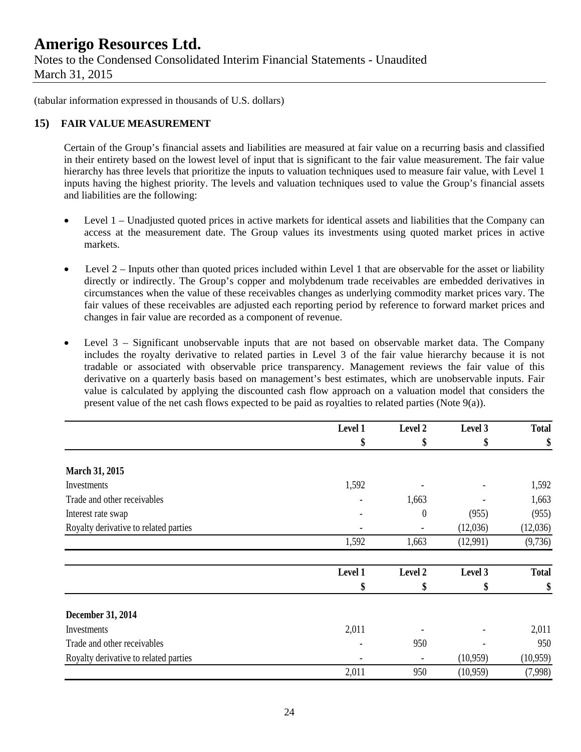Notes to the Condensed Consolidated Interim Financial Statements - Unaudited March 31, 2015

(tabular information expressed in thousands of U.S. dollars)

#### **15) FAIR VALUE MEASUREMENT**

Certain of the Group's financial assets and liabilities are measured at fair value on a recurring basis and classified in their entirety based on the lowest level of input that is significant to the fair value measurement. The fair value hierarchy has three levels that prioritize the inputs to valuation techniques used to measure fair value, with Level 1 inputs having the highest priority. The levels and valuation techniques used to value the Group's financial assets and liabilities are the following:

- Level 1 Unadjusted quoted prices in active markets for identical assets and liabilities that the Company can access at the measurement date. The Group values its investments using quoted market prices in active markets.
- $\bullet$  Level 2 Inputs other than quoted prices included within Level 1 that are observable for the asset or liability directly or indirectly. The Group's copper and molybdenum trade receivables are embedded derivatives in circumstances when the value of these receivables changes as underlying commodity market prices vary. The fair values of these receivables are adjusted each reporting period by reference to forward market prices and changes in fair value are recorded as a component of revenue.
- Level 3 Significant unobservable inputs that are not based on observable market data. The Company includes the royalty derivative to related parties in Level 3 of the fair value hierarchy because it is not tradable or associated with observable price transparency. Management reviews the fair value of this derivative on a quarterly basis based on management's best estimates, which are unobservable inputs. Fair value is calculated by applying the discounted cash flow approach on a valuation model that considers the present value of the net cash flows expected to be paid as royalties to related parties (Note 9(a)).

|                                       | Level 1 | Level 2 | Level 3<br>\$ | <b>Total</b><br>\$ |
|---------------------------------------|---------|---------|---------------|--------------------|
|                                       | \$      | \$      |               |                    |
| March 31, 2015                        |         |         |               |                    |
| Investments                           | 1,592   |         |               | 1,592              |
| Trade and other receivables           |         | 1,663   |               | 1,663              |
| Interest rate swap                    |         | 0       | (955)         | (955)              |
| Royalty derivative to related parties |         |         | (12,036)      | (12,036)           |
|                                       | 1,592   | 1,663   | (12,991)      | (9, 736)           |
|                                       | Level 1 | Level 2 | Level 3       | <b>Total</b>       |
|                                       | \$      | \$      | \$            | \$                 |
| December 31, 2014                     |         |         |               |                    |
| Investments                           | 2,011   |         |               | 2,011              |
| Trade and other receivables           |         | 950     |               | 950                |
| Royalty derivative to related parties |         |         | (10,959)      | (10, 959)          |
|                                       | 2,011   | 950     | (10, 959)     | (7,998)            |